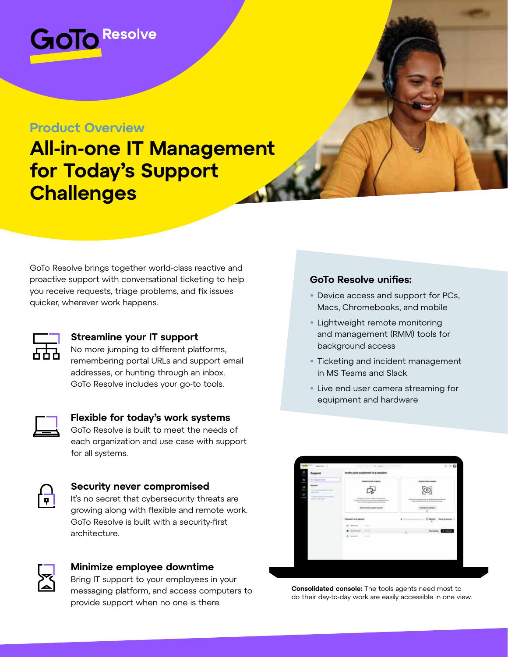

### **Product Overview**

# **All-in-one IT Management for Today's Support Challenges**

GoTo Resolve brings together world-class reactive and proactive support with conversational ticketing to help you receive requests, triage problems, and fix issues quicker, wherever work happens.



### **Streamline your IT support**

No more jumping to different platforms, remembering portal URLs and support email addresses, or hunting through an inbox. GoTo Resolve includes your go-to tools.



### **Flexible for today's work systems** GoTo Resolve is built to meet the needs of

each organization and use case with support for all systems.

### **Security never compromised**

It's no secret that cybersecurity threats are growing along with flexible and remote work. GoTo Resolve is built with a security-first architecture.



### **Minimize employee downtime**

Bring IT support to your employees in your messaging platform, and access computers to provide support when no one is there.

### **GoTo Resolve unifies:**

- Device access and support for PCs, Macs, Chromebooks, and mobile
- Lightweight remote monitoring and management (RMM) tools for background access
- Ticketing and incident management in MS Teams and Slack
- Live end user camera streaming for equipment and hardware



**Consolidated console:** The tools agents need most to do their day-to-day work are easily accessible in one view.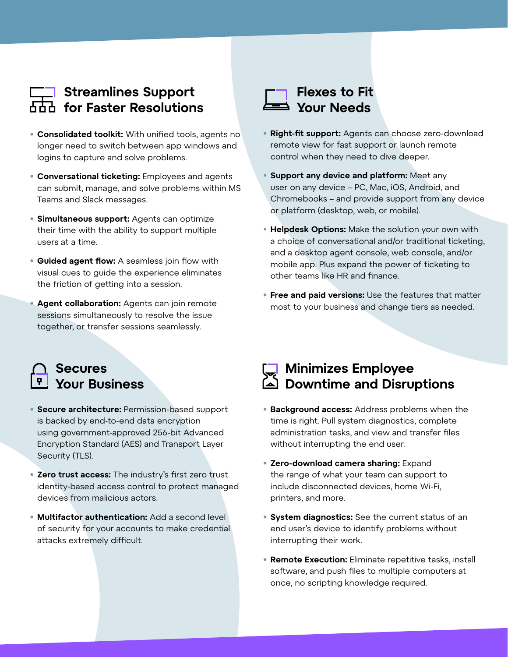## **Streamlines Support for Faster Resolutions**

- **• Consolidated toolkit:** With unified tools, agents no longer need to switch between app windows and logins to capture and solve problems.
- **• Conversational ticketing:** Employees and agents can submit, manage, and solve problems within MS Teams and Slack messages.
- **• Simultaneous support:** Agents can optimize their time with the ability to support multiple users at a time.
- **• Guided agent flow:** A seamless join flow with visual cues to guide the experience eliminates the friction of getting into a session.
- **• Agent collaboration:** Agents can join remote sessions simultaneously to resolve the issue together, or transfer sessions seamlessly.

## **Flexes to Fit Your Needs**

- **• Right-fit support:** Agents can choose zero-download remote view for fast support or launch remote control when they need to dive deeper.
- **Support any device and platform:** Meet any user on any device – PC, Mac, iOS, Android, and Chromebooks – and provide support from any device or platform (desktop, web, or mobile).
- **Helpdesk Options:** Make the solution your own with a choice of conversational and/or traditional ticketing, and a desktop agent console, web console, and/or mobile app. Plus expand the power of ticketing to other teams like HR and finance.
- **• Free and paid versions:** Use the features that matter most to your business and change tiers as needed.

### **Secures Your Business**

- **• Secure architecture:** Permission-based support is backed by end-to-end data encryption using government-approved 256-bit Advanced Encryption Standard (AES) and Transport Layer Security (TLS).
- **• Zero trust access:** The industry's first zero trust identity-based access control to protect managed devices from malicious actors.
- **• Multifactor authentication:** Add a second level of security for your accounts to make credential attacks extremely difficult.

## **Minimizes Employee Downtime and Disruptions**

- **• Background access:** Address problems when the time is right. Pull system diagnostics, complete administration tasks, and view and transfer files without interrupting the end user.
- **• Zero-download camera sharing:** Expand the range of what your team can support to include disconnected devices, home Wi-Fi, printers, and more.
- **• System diagnostics:** See the current status of an end user's device to identify problems without interrupting their work.
- **• Remote Execution:** Eliminate repetitive tasks, install software, and push files to multiple computers at once, no scripting knowledge required.